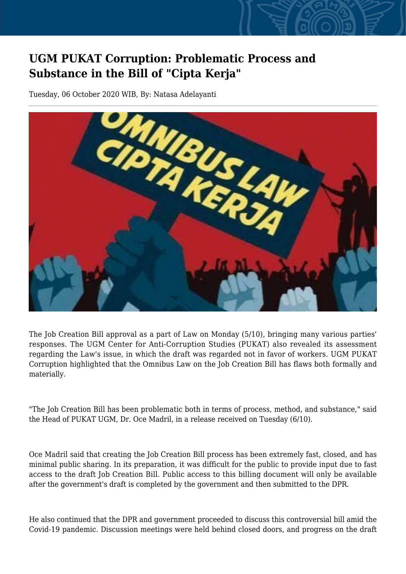## **UGM PUKAT Corruption: Problematic Process and Substance in the Bill of "Cipta Kerja"**

Tuesday, 06 October 2020 WIB, By: Natasa Adelayanti



The Job Creation Bill approval as a part of Law on Monday (5/10), bringing many various parties' responses. The UGM Center for Anti-Corruption Studies (PUKAT) also revealed its assessment regarding the Law's issue, in which the draft was regarded not in favor of workers. UGM PUKAT Corruption highlighted that the Omnibus Law on the Job Creation Bill has flaws both formally and materially.

"The Job Creation Bill has been problematic both in terms of process, method, and substance," said the Head of PUKAT UGM, Dr. Oce Madril, in a release received on Tuesday (6/10).

Oce Madril said that creating the Job Creation Bill process has been extremely fast, closed, and has minimal public sharing. In its preparation, it was difficult for the public to provide input due to fast access to the draft Job Creation Bill. Public access to this billing document will only be available after the government's draft is completed by the government and then submitted to the DPR.

He also continued that the DPR and government proceeded to discuss this controversial bill amid the Covid-19 pandemic. Discussion meetings were held behind closed doors, and progress on the draft